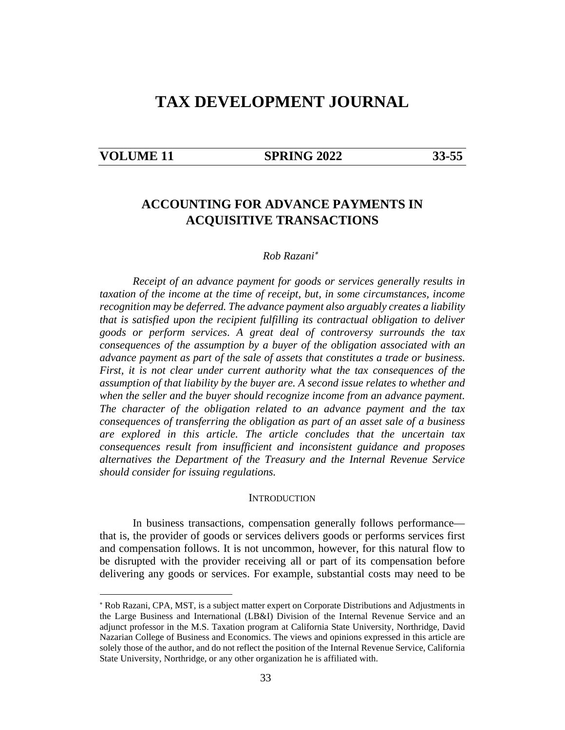# **TAX DEVELOPMENT JOURNAL**

#### **VOLUME 11 SPRING 2022 33-55**

## **ACCOUNTING FOR ADVANCE PAYMENTS IN ACQUISITIVE TRANSACTIONS**

#### *Rob Razani*

*Receipt of an advance payment for goods or services generally results in taxation of the income at the time of receipt, but, in some circumstances, income recognition may be deferred. The advance payment also arguably creates a liability that is satisfied upon the recipient fulfilling its contractual obligation to deliver goods or perform services*. *A great deal of controversy surrounds the tax consequences of the assumption by a buyer of the obligation associated with an advance payment as part of the sale of assets that constitutes a trade or business. First, it is not clear under current authority what the tax consequences of the assumption of that liability by the buyer are. A second issue relates to whether and when the seller and the buyer should recognize income from an advance payment. The character of the obligation related to an advance payment and the tax consequences of transferring the obligation as part of an asset sale of a business are explored in this article. The article concludes that the uncertain tax consequences result from insufficient and inconsistent guidance and proposes alternatives the Department of the Treasury and the Internal Revenue Service should consider for issuing regulations.* 

#### **INTRODUCTION**

In business transactions, compensation generally follows performance that is, the provider of goods or services delivers goods or performs services first and compensation follows. It is not uncommon, however, for this natural flow to be disrupted with the provider receiving all or part of its compensation before delivering any goods or services. For example, substantial costs may need to be

 Rob Razani, CPA, MST, is a subject matter expert on Corporate Distributions and Adjustments in the Large Business and International (LB&I) Division of the Internal Revenue Service and an adjunct professor in the M.S. Taxation program at California State University, Northridge, David Nazarian College of Business and Economics. The views and opinions expressed in this article are solely those of the author, and do not reflect the position of the Internal Revenue Service, California State University, Northridge, or any other organization he is affiliated with.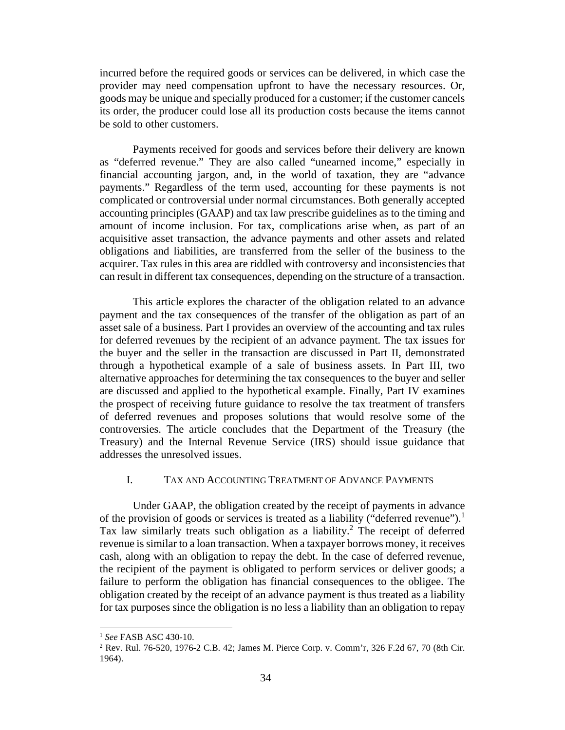incurred before the required goods or services can be delivered, in which case the provider may need compensation upfront to have the necessary resources. Or, goods may be unique and specially produced for a customer; if the customer cancels its order, the producer could lose all its production costs because the items cannot be sold to other customers.

Payments received for goods and services before their delivery are known as "deferred revenue." They are also called "unearned income," especially in financial accounting jargon, and, in the world of taxation, they are "advance payments." Regardless of the term used, accounting for these payments is not complicated or controversial under normal circumstances. Both generally accepted accounting principles (GAAP) and tax law prescribe guidelines as to the timing and amount of income inclusion. For tax, complications arise when, as part of an acquisitive asset transaction, the advance payments and other assets and related obligations and liabilities, are transferred from the seller of the business to the acquirer. Tax rules in this area are riddled with controversy and inconsistencies that can result in different tax consequences, depending on the structure of a transaction.

This article explores the character of the obligation related to an advance payment and the tax consequences of the transfer of the obligation as part of an asset sale of a business. Part I provides an overview of the accounting and tax rules for deferred revenues by the recipient of an advance payment. The tax issues for the buyer and the seller in the transaction are discussed in Part II, demonstrated through a hypothetical example of a sale of business assets. In Part III, two alternative approaches for determining the tax consequences to the buyer and seller are discussed and applied to the hypothetical example. Finally, Part IV examines the prospect of receiving future guidance to resolve the tax treatment of transfers of deferred revenues and proposes solutions that would resolve some of the controversies. The article concludes that the Department of the Treasury (the Treasury) and the Internal Revenue Service (IRS) should issue guidance that addresses the unresolved issues.

#### I. TAX AND ACCOUNTING TREATMENT OF ADVANCE PAYMENTS

Under GAAP, the obligation created by the receipt of payments in advance of the provision of goods or services is treated as a liability ("deferred revenue").<sup>1</sup> Tax law similarly treats such obligation as a liability.<sup>2</sup> The receipt of deferred revenue is similar to a loan transaction. When a taxpayer borrows money, it receives cash, along with an obligation to repay the debt. In the case of deferred revenue, the recipient of the payment is obligated to perform services or deliver goods; a failure to perform the obligation has financial consequences to the obligee. The obligation created by the receipt of an advance payment is thus treated as a liability for tax purposes since the obligation is no less a liability than an obligation to repay

<sup>1</sup> *See* FASB ASC 430-10.

<sup>2</sup> Rev. Rul. 76-520, 1976-2 C.B. 42; James M. Pierce Corp. v. Comm'r, 326 F.2d 67, 70 (8th Cir. 1964).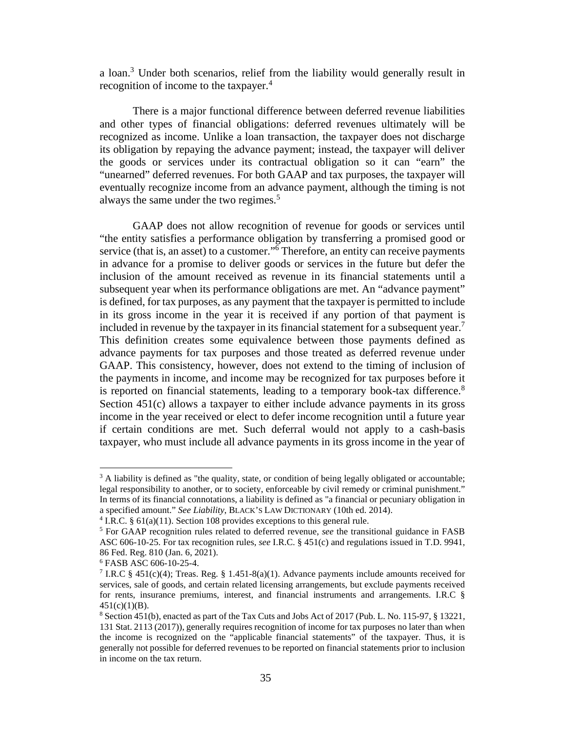a loan.<sup>3</sup> Under both scenarios, relief from the liability would generally result in recognition of income to the taxpayer. $4$ 

There is a major functional difference between deferred revenue liabilities and other types of financial obligations: deferred revenues ultimately will be recognized as income. Unlike a loan transaction, the taxpayer does not discharge its obligation by repaying the advance payment; instead, the taxpayer will deliver the goods or services under its contractual obligation so it can "earn" the "unearned" deferred revenues. For both GAAP and tax purposes, the taxpayer will eventually recognize income from an advance payment, although the timing is not always the same under the two regimes.<sup>5</sup>

GAAP does not allow recognition of revenue for goods or services until "the entity satisfies a performance obligation by transferring a promised good or service (that is, an asset) to a customer."<sup>6</sup> Therefore, an entity can receive payments in advance for a promise to deliver goods or services in the future but defer the inclusion of the amount received as revenue in its financial statements until a subsequent year when its performance obligations are met. An "advance payment" is defined, for tax purposes, as any payment that the taxpayer is permitted to include in its gross income in the year it is received if any portion of that payment is included in revenue by the taxpayer in its financial statement for a subsequent year.<sup>7</sup> This definition creates some equivalence between those payments defined as advance payments for tax purposes and those treated as deferred revenue under GAAP. This consistency, however, does not extend to the timing of inclusion of the payments in income, and income may be recognized for tax purposes before it is reported on financial statements, leading to a temporary book-tax difference.<sup>8</sup> Section 451(c) allows a taxpayer to either include advance payments in its gross income in the year received or elect to defer income recognition until a future year if certain conditions are met. Such deferral would not apply to a cash-basis taxpayer, who must include all advance payments in its gross income in the year of

<sup>&</sup>lt;sup>3</sup> A liability is defined as "the quality, state, or condition of being legally obligated or accountable; legal responsibility to another, or to society, enforceable by civil remedy or criminal punishment." In terms of its financial connotations, a liability is defined as "a financial or pecuniary obligation in a specified amount." *See Liability*, BLACK'S LAW DICTIONARY (10th ed. 2014).

<sup>&</sup>lt;sup>4</sup> I.R.C. § 61(a)(11). Section 108 provides exceptions to this general rule.

<sup>&</sup>lt;sup>5</sup> For GAAP recognition rules related to deferred revenue, *see* the transitional guidance in FASB ASC 606-10-25. For tax recognition rules, *see* I.R.C. § 451(c) and regulations issued in T.D. 9941, 86 Fed. Reg. 810 (Jan. 6, 2021).

<sup>6</sup> FASB ASC 606-10-25-4.

<sup>&</sup>lt;sup>7</sup> I.R.C § 451(c)(4); Treas. Reg. § 1.451-8(a)(1). Advance payments include amounts received for services, sale of goods, and certain related licensing arrangements, but exclude payments received for rents, insurance premiums, interest, and financial instruments and arrangements. I.R.C § 451(c)(1)(B).

<sup>8</sup> Section 451(b), enacted as part of the Tax Cuts and Jobs Act of 2017 (Pub. L. No. 115-97, § 13221, 131 Stat. 2113 (2017)), generally requires recognition of income for tax purposes no later than when the income is recognized on the "applicable financial statements" of the taxpayer. Thus, it is generally not possible for deferred revenues to be reported on financial statements prior to inclusion in income on the tax return.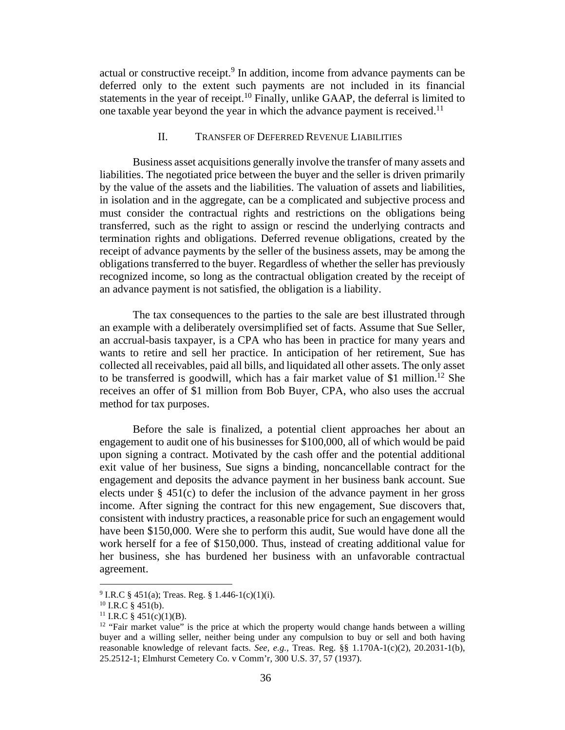actual or constructive receipt.<sup>9</sup> In addition, income from advance payments can be deferred only to the extent such payments are not included in its financial statements in the year of receipt.<sup>10</sup> Finally, unlike GAAP, the deferral is limited to one taxable year beyond the year in which the advance payment is received.<sup>11</sup>

### II. TRANSFER OF DEFERRED REVENUE LIABILITIES

Business asset acquisitions generally involve the transfer of many assets and liabilities. The negotiated price between the buyer and the seller is driven primarily by the value of the assets and the liabilities. The valuation of assets and liabilities, in isolation and in the aggregate, can be a complicated and subjective process and must consider the contractual rights and restrictions on the obligations being transferred, such as the right to assign or rescind the underlying contracts and termination rights and obligations. Deferred revenue obligations, created by the receipt of advance payments by the seller of the business assets, may be among the obligations transferred to the buyer. Regardless of whether the seller has previously recognized income, so long as the contractual obligation created by the receipt of an advance payment is not satisfied, the obligation is a liability.

The tax consequences to the parties to the sale are best illustrated through an example with a deliberately oversimplified set of facts. Assume that Sue Seller, an accrual-basis taxpayer, is a CPA who has been in practice for many years and wants to retire and sell her practice. In anticipation of her retirement, Sue has collected all receivables, paid all bills, and liquidated all other assets. The only asset to be transferred is goodwill, which has a fair market value of \$1 million.<sup>12</sup> She receives an offer of \$1 million from Bob Buyer, CPA, who also uses the accrual method for tax purposes.

Before the sale is finalized, a potential client approaches her about an engagement to audit one of his businesses for \$100,000, all of which would be paid upon signing a contract. Motivated by the cash offer and the potential additional exit value of her business, Sue signs a binding, noncancellable contract for the engagement and deposits the advance payment in her business bank account. Sue elects under § 451(c) to defer the inclusion of the advance payment in her gross income. After signing the contract for this new engagement, Sue discovers that, consistent with industry practices, a reasonable price for such an engagement would have been \$150,000. Were she to perform this audit, Sue would have done all the work herself for a fee of \$150,000. Thus, instead of creating additional value for her business, she has burdened her business with an unfavorable contractual agreement.

<sup>&</sup>lt;sup>9</sup> I.R.C § 451(a); Treas. Reg. § 1.446-1(c)(1)(i).

 $10$  I.R.C § 451(b).

<sup>&</sup>lt;sup>11</sup> I.R.C § 451(c)(1)(B).

 $12$  "Fair market value" is the price at which the property would change hands between a willing buyer and a willing seller, neither being under any compulsion to buy or sell and both having reasonable knowledge of relevant facts. *See, e.g.,* Treas. Reg. §§ 1.170A-1(c)(2), 20.2031-1(b), 25.2512-1; Elmhurst Cemetery Co. v Comm'r, 300 U.S. 37, 57 (1937).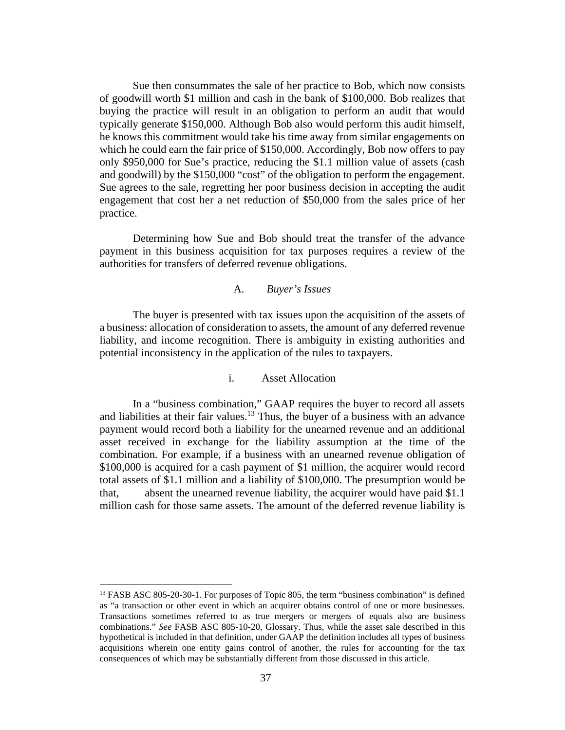Sue then consummates the sale of her practice to Bob, which now consists of goodwill worth \$1 million and cash in the bank of \$100,000. Bob realizes that buying the practice will result in an obligation to perform an audit that would typically generate \$150,000. Although Bob also would perform this audit himself, he knows this commitment would take his time away from similar engagements on which he could earn the fair price of \$150,000. Accordingly, Bob now offers to pay only \$950,000 for Sue's practice, reducing the \$1.1 million value of assets (cash and goodwill) by the \$150,000 "cost" of the obligation to perform the engagement. Sue agrees to the sale, regretting her poor business decision in accepting the audit engagement that cost her a net reduction of \$50,000 from the sales price of her practice.

Determining how Sue and Bob should treat the transfer of the advance payment in this business acquisition for tax purposes requires a review of the authorities for transfers of deferred revenue obligations.

#### A. *Buyer's Issues*

The buyer is presented with tax issues upon the acquisition of the assets of a business: allocation of consideration to assets, the amount of any deferred revenue liability, and income recognition. There is ambiguity in existing authorities and potential inconsistency in the application of the rules to taxpayers.

#### i. Asset Allocation

In a "business combination," GAAP requires the buyer to record all assets and liabilities at their fair values.<sup>13</sup> Thus, the buyer of a business with an advance payment would record both a liability for the unearned revenue and an additional asset received in exchange for the liability assumption at the time of the combination. For example, if a business with an unearned revenue obligation of \$100,000 is acquired for a cash payment of \$1 million, the acquirer would record total assets of \$1.1 million and a liability of \$100,000. The presumption would be that, absent the unearned revenue liability, the acquirer would have paid \$1.1 million cash for those same assets. The amount of the deferred revenue liability is

<sup>&</sup>lt;sup>13</sup> FASB ASC 805-20-30-1. For purposes of Topic 805, the term "business combination" is defined as "a transaction or other event in which an acquirer obtains control of one or more businesses. Transactions sometimes referred to as true mergers or mergers of equals also are business combinations." *See* FASB ASC 805-10-20, Glossary. Thus, while the asset sale described in this hypothetical is included in that definition, under GAAP the definition includes all types of business acquisitions wherein one entity gains control of another, the rules for accounting for the tax consequences of which may be substantially different from those discussed in this article.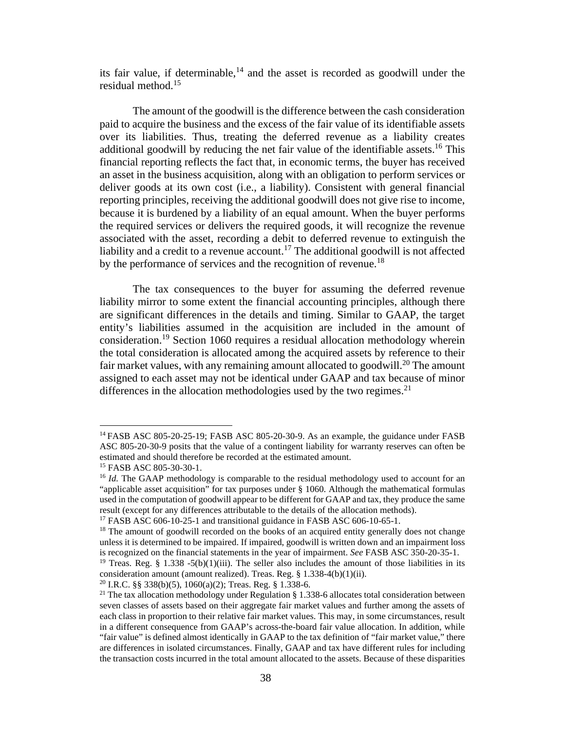its fair value, if determinable, $14$  and the asset is recorded as goodwill under the residual method.<sup>15</sup>

The amount of the goodwill is the difference between the cash consideration paid to acquire the business and the excess of the fair value of its identifiable assets over its liabilities. Thus, treating the deferred revenue as a liability creates additional goodwill by reducing the net fair value of the identifiable assets.<sup>16</sup> This financial reporting reflects the fact that, in economic terms, the buyer has received an asset in the business acquisition, along with an obligation to perform services or deliver goods at its own cost (i.e., a liability). Consistent with general financial reporting principles, receiving the additional goodwill does not give rise to income, because it is burdened by a liability of an equal amount. When the buyer performs the required services or delivers the required goods, it will recognize the revenue associated with the asset, recording a debit to deferred revenue to extinguish the liability and a credit to a revenue account.<sup>17</sup> The additional goodwill is not affected by the performance of services and the recognition of revenue.<sup>18</sup>

The tax consequences to the buyer for assuming the deferred revenue liability mirror to some extent the financial accounting principles, although there are significant differences in the details and timing. Similar to GAAP, the target entity's liabilities assumed in the acquisition are included in the amount of consideration.<sup>19</sup> Section 1060 requires a residual allocation methodology wherein the total consideration is allocated among the acquired assets by reference to their fair market values, with any remaining amount allocated to goodwill.<sup>20</sup> The amount assigned to each asset may not be identical under GAAP and tax because of minor differences in the allocation methodologies used by the two regimes. $2<sup>1</sup>$ 

<sup>&</sup>lt;sup>14</sup> FASB ASC 805-20-25-19; FASB ASC 805-20-30-9. As an example, the guidance under FASB ASC 805-20-30-9 posits that the value of a contingent liability for warranty reserves can often be estimated and should therefore be recorded at the estimated amount.

<sup>15</sup> FASB ASC 805-30-30-1.

<sup>&</sup>lt;sup>16</sup> *Id.* The GAAP methodology is comparable to the residual methodology used to account for an "applicable asset acquisition" for tax purposes under § 1060. Although the mathematical formulas used in the computation of goodwill appear to be different for GAAP and tax, they produce the same result (except for any differences attributable to the details of the allocation methods).

<sup>&</sup>lt;sup>17</sup> FASB ASC  $606-10-25-1$  and transitional guidance in FASB ASC  $606-10-65-1$ .

<sup>&</sup>lt;sup>18</sup> The amount of goodwill recorded on the books of an acquired entity generally does not change unless it is determined to be impaired. If impaired, goodwill is written down and an impairment loss is recognized on the financial statements in the year of impairment. *See* FASB ASC 350-20-35-1.

<sup>&</sup>lt;sup>19</sup> Treas. Reg. § 1.338 -5(b)(1)(iii). The seller also includes the amount of those liabilities in its consideration amount (amount realized). Treas. Reg. § 1.338-4(b)(1)(ii).

<sup>&</sup>lt;sup>20</sup> I.R.C. §§ 338(b)(5), 1060(a)(2); Treas. Reg. § 1.338-6.

<sup>&</sup>lt;sup>21</sup> The tax allocation methodology under Regulation  $\S 1.338-6$  allocates total consideration between seven classes of assets based on their aggregate fair market values and further among the assets of each class in proportion to their relative fair market values. This may, in some circumstances, result in a different consequence from GAAP's across-the-board fair value allocation. In addition, while "fair value" is defined almost identically in GAAP to the tax definition of "fair market value," there are differences in isolated circumstances. Finally, GAAP and tax have different rules for including the transaction costs incurred in the total amount allocated to the assets. Because of these disparities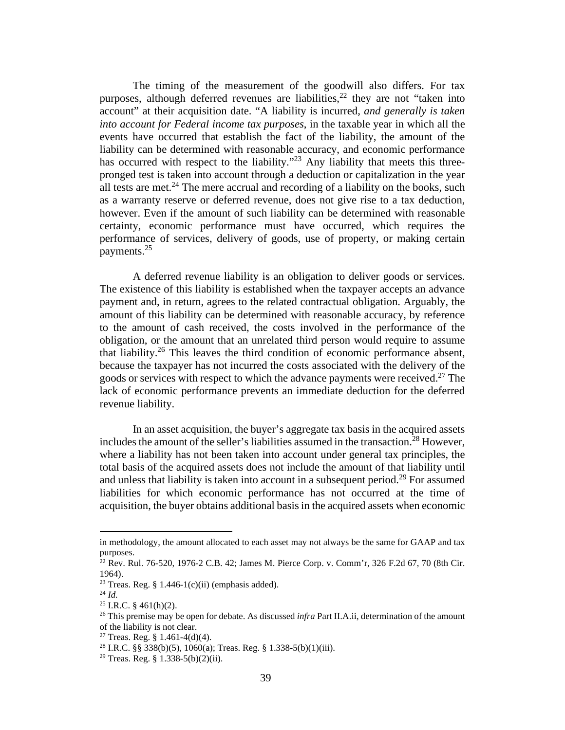The timing of the measurement of the goodwill also differs. For tax purposes, although deferred revenues are liabilities,  $^{22}$  they are not "taken into account" at their acquisition date. "A liability is incurred, *and generally is taken into account for Federal income tax purposes*, in the taxable year in which all the events have occurred that establish the fact of the liability, the amount of the liability can be determined with reasonable accuracy, and economic performance has occurred with respect to the liability."<sup>23</sup> Any liability that meets this threepronged test is taken into account through a deduction or capitalization in the year all tests are met.<sup>24</sup> The mere accrual and recording of a liability on the books, such as a warranty reserve or deferred revenue, does not give rise to a tax deduction, however. Even if the amount of such liability can be determined with reasonable certainty, economic performance must have occurred, which requires the performance of services, delivery of goods, use of property, or making certain payments.<sup>25</sup>

A deferred revenue liability is an obligation to deliver goods or services. The existence of this liability is established when the taxpayer accepts an advance payment and, in return, agrees to the related contractual obligation. Arguably, the amount of this liability can be determined with reasonable accuracy, by reference to the amount of cash received, the costs involved in the performance of the obligation, or the amount that an unrelated third person would require to assume that liability.<sup>26</sup> This leaves the third condition of economic performance absent, because the taxpayer has not incurred the costs associated with the delivery of the goods or services with respect to which the advance payments were received.<sup>27</sup> The lack of economic performance prevents an immediate deduction for the deferred revenue liability.

In an asset acquisition, the buyer's aggregate tax basis in the acquired assets includes the amount of the seller's liabilities assumed in the transaction.<sup>28</sup> However, where a liability has not been taken into account under general tax principles, the total basis of the acquired assets does not include the amount of that liability until and unless that liability is taken into account in a subsequent period.<sup>29</sup> For assumed liabilities for which economic performance has not occurred at the time of acquisition, the buyer obtains additional basis in the acquired assets when economic

in methodology, the amount allocated to each asset may not always be the same for GAAP and tax purposes.

 $^{22}$  Rev. Rul. 76-520, 1976-2 C.B. 42; James M. Pierce Corp. v. Comm'r, 326 F.2d 67, 70 (8th Cir. 1964).

<sup>&</sup>lt;sup>23</sup> Treas. Reg. § 1.446-1(c)(ii) (emphasis added).

 $^{24}$  *Id.* 

<sup>&</sup>lt;sup>25</sup> I.R.C. § 461(h)(2).

<sup>26</sup> This premise may be open for debate. As discussed *infra* Part II.A.ii, determination of the amount of the liability is not clear.

<sup>&</sup>lt;sup>27</sup> Treas. Reg. § 1.461-4(d)(4).

<sup>&</sup>lt;sup>28</sup> I.R.C. §§ 338(b)(5), 1060(a); Treas. Reg. § 1.338-5(b)(1)(iii).

<sup>&</sup>lt;sup>29</sup> Treas. Reg. § 1.338-5(b)(2)(ii).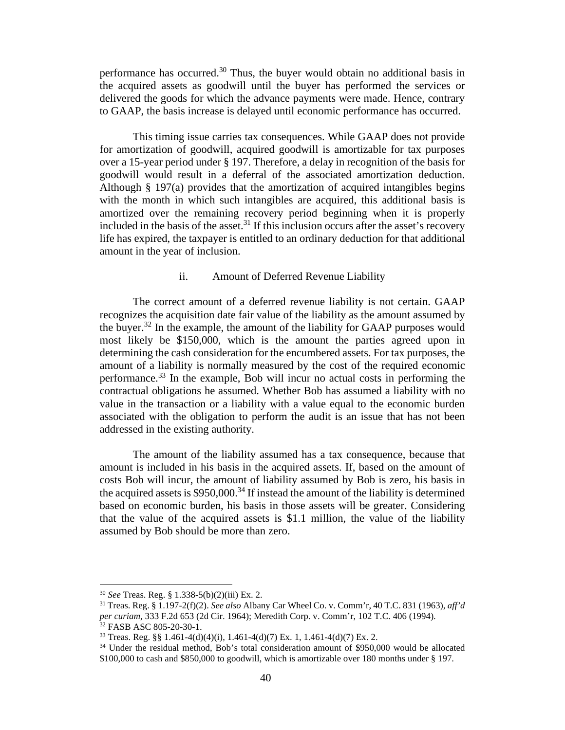performance has occurred.<sup>30</sup> Thus, the buyer would obtain no additional basis in the acquired assets as goodwill until the buyer has performed the services or delivered the goods for which the advance payments were made. Hence, contrary to GAAP, the basis increase is delayed until economic performance has occurred.

This timing issue carries tax consequences. While GAAP does not provide for amortization of goodwill, acquired goodwill is amortizable for tax purposes over a 15-year period under § 197. Therefore, a delay in recognition of the basis for goodwill would result in a deferral of the associated amortization deduction. Although § 197(a) provides that the amortization of acquired intangibles begins with the month in which such intangibles are acquired, this additional basis is amortized over the remaining recovery period beginning when it is properly included in the basis of the asset.<sup>31</sup> If this inclusion occurs after the asset's recovery life has expired, the taxpayer is entitled to an ordinary deduction for that additional amount in the year of inclusion.

#### ii. Amount of Deferred Revenue Liability

The correct amount of a deferred revenue liability is not certain. GAAP recognizes the acquisition date fair value of the liability as the amount assumed by the buyer.<sup>32</sup> In the example, the amount of the liability for GAAP purposes would most likely be \$150,000, which is the amount the parties agreed upon in determining the cash consideration for the encumbered assets. For tax purposes, the amount of a liability is normally measured by the cost of the required economic performance.<sup>33</sup> In the example, Bob will incur no actual costs in performing the contractual obligations he assumed. Whether Bob has assumed a liability with no value in the transaction or a liability with a value equal to the economic burden associated with the obligation to perform the audit is an issue that has not been addressed in the existing authority.

The amount of the liability assumed has a tax consequence, because that amount is included in his basis in the acquired assets. If, based on the amount of costs Bob will incur, the amount of liability assumed by Bob is zero, his basis in the acquired assets is  $$950,000.<sup>34</sup>$  If instead the amount of the liability is determined based on economic burden, his basis in those assets will be greater. Considering that the value of the acquired assets is \$1.1 million, the value of the liability assumed by Bob should be more than zero.

<sup>30</sup> *See* Treas. Reg. § 1.338-5(b)(2)(iii) Ex. 2.

<sup>31</sup> Treas. Reg. § 1.197-2(f)(2). *See also* Albany Car Wheel Co. v. Comm'r, 40 T.C. 831 (1963), *aff'd per curiam*, 333 F.2d 653 (2d Cir. 1964); Meredith Corp. v. Comm'r, 102 T.C. 406 (1994). <sup>32</sup> FASB ASC 805-20-30-1.

<sup>&</sup>lt;sup>33</sup> Treas. Reg. §§ 1.461-4(d)(4)(i), 1.461-4(d)(7) Ex. 1, 1.461-4(d)(7) Ex. 2.

<sup>&</sup>lt;sup>34</sup> Under the residual method, Bob's total consideration amount of \$950,000 would be allocated \$100,000 to cash and \$850,000 to goodwill, which is amortizable over 180 months under § 197.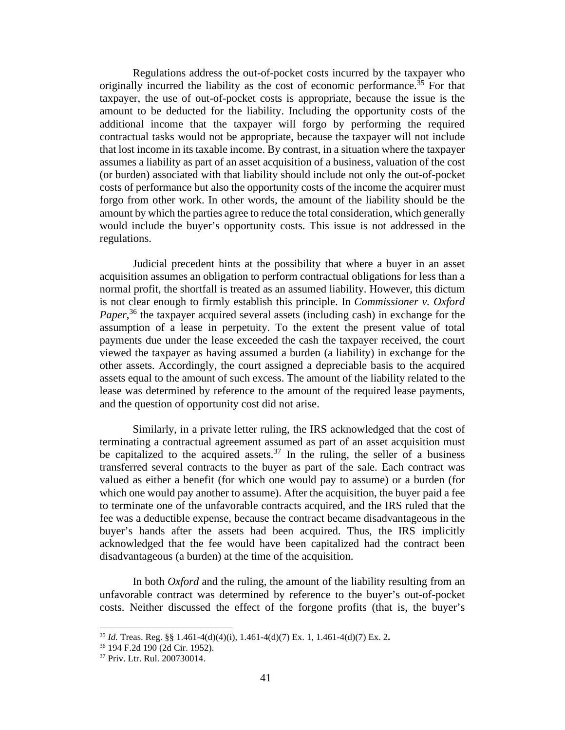Regulations address the out-of-pocket costs incurred by the taxpayer who originally incurred the liability as the cost of economic performance.<sup>35</sup> For that taxpayer, the use of out-of-pocket costs is appropriate, because the issue is the amount to be deducted for the liability. Including the opportunity costs of the additional income that the taxpayer will forgo by performing the required contractual tasks would not be appropriate, because the taxpayer will not include that lost income in its taxable income. By contrast, in a situation where the taxpayer assumes a liability as part of an asset acquisition of a business, valuation of the cost (or burden) associated with that liability should include not only the out-of-pocket costs of performance but also the opportunity costs of the income the acquirer must forgo from other work. In other words, the amount of the liability should be the amount by which the parties agree to reduce the total consideration, which generally would include the buyer's opportunity costs. This issue is not addressed in the regulations.

Judicial precedent hints at the possibility that where a buyer in an asset acquisition assumes an obligation to perform contractual obligations for less than a normal profit, the shortfall is treated as an assumed liability. However, this dictum is not clear enough to firmly establish this principle. In *Commissioner v. Oxford*  Paper,<sup>36</sup> the taxpayer acquired several assets (including cash) in exchange for the assumption of a lease in perpetuity. To the extent the present value of total payments due under the lease exceeded the cash the taxpayer received, the court viewed the taxpayer as having assumed a burden (a liability) in exchange for the other assets. Accordingly, the court assigned a depreciable basis to the acquired assets equal to the amount of such excess. The amount of the liability related to the lease was determined by reference to the amount of the required lease payments, and the question of opportunity cost did not arise.

Similarly, in a private letter ruling, the IRS acknowledged that the cost of terminating a contractual agreement assumed as part of an asset acquisition must be capitalized to the acquired assets.<sup>37</sup> In the ruling, the seller of a business transferred several contracts to the buyer as part of the sale. Each contract was valued as either a benefit (for which one would pay to assume) or a burden (for which one would pay another to assume). After the acquisition, the buyer paid a fee to terminate one of the unfavorable contracts acquired, and the IRS ruled that the fee was a deductible expense, because the contract became disadvantageous in the buyer's hands after the assets had been acquired. Thus, the IRS implicitly acknowledged that the fee would have been capitalized had the contract been disadvantageous (a burden) at the time of the acquisition.

In both *Oxford* and the ruling, the amount of the liability resulting from an unfavorable contract was determined by reference to the buyer's out-of-pocket costs. Neither discussed the effect of the forgone profits (that is, the buyer's

<sup>35</sup> *Id.* Treas. Reg. §§ 1.461-4(d)(4)(i), 1.461-4(d)(7) Ex. 1, 1.461-4(d)(7) Ex. 2**.** 

<sup>36</sup> 194 F.2d 190 (2d Cir. 1952).

<sup>37</sup> Priv. Ltr. Rul. 200730014.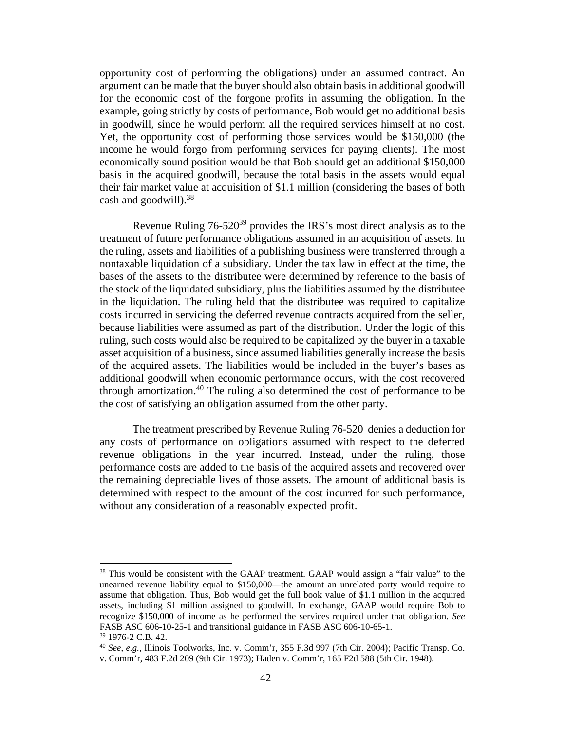opportunity cost of performing the obligations) under an assumed contract. An argument can be made that the buyer should also obtain basis in additional goodwill for the economic cost of the forgone profits in assuming the obligation. In the example, going strictly by costs of performance, Bob would get no additional basis in goodwill, since he would perform all the required services himself at no cost. Yet, the opportunity cost of performing those services would be \$150,000 (the income he would forgo from performing services for paying clients). The most economically sound position would be that Bob should get an additional \$150,000 basis in the acquired goodwill, because the total basis in the assets would equal their fair market value at acquisition of \$1.1 million (considering the bases of both cash and goodwill).<sup>38</sup>

Revenue Ruling 76-520<sup>39</sup> provides the IRS's most direct analysis as to the treatment of future performance obligations assumed in an acquisition of assets. In the ruling, assets and liabilities of a publishing business were transferred through a nontaxable liquidation of a subsidiary. Under the tax law in effect at the time, the bases of the assets to the distributee were determined by reference to the basis of the stock of the liquidated subsidiary, plus the liabilities assumed by the distributee in the liquidation. The ruling held that the distributee was required to capitalize costs incurred in servicing the deferred revenue contracts acquired from the seller, because liabilities were assumed as part of the distribution. Under the logic of this ruling, such costs would also be required to be capitalized by the buyer in a taxable asset acquisition of a business, since assumed liabilities generally increase the basis of the acquired assets. The liabilities would be included in the buyer's bases as additional goodwill when economic performance occurs, with the cost recovered through amortization.<sup>40</sup> The ruling also determined the cost of performance to be the cost of satisfying an obligation assumed from the other party.

The treatment prescribed by Revenue Ruling 76-520 denies a deduction for any costs of performance on obligations assumed with respect to the deferred revenue obligations in the year incurred. Instead, under the ruling, those performance costs are added to the basis of the acquired assets and recovered over the remaining depreciable lives of those assets. The amount of additional basis is determined with respect to the amount of the cost incurred for such performance, without any consideration of a reasonably expected profit.

<sup>&</sup>lt;sup>38</sup> This would be consistent with the GAAP treatment. GAAP would assign a "fair value" to the unearned revenue liability equal to \$150,000—the amount an unrelated party would require to assume that obligation. Thus, Bob would get the full book value of \$1.1 million in the acquired assets, including \$1 million assigned to goodwill. In exchange, GAAP would require Bob to recognize \$150,000 of income as he performed the services required under that obligation. *See* FASB ASC 606-10-25-1 and transitional guidance in FASB ASC 606-10-65-1.

<sup>39</sup> 1976-2 C.B. 42.

<sup>40</sup> *See*, *e.g.,* Illinois Toolworks, Inc. v. Comm'r, 355 F.3d 997 (7th Cir. 2004); Pacific Transp. Co.

v. Comm'r, 483 F.2d 209 (9th Cir. 1973); Haden v. Comm'r, 165 F2d 588 (5th Cir. 1948).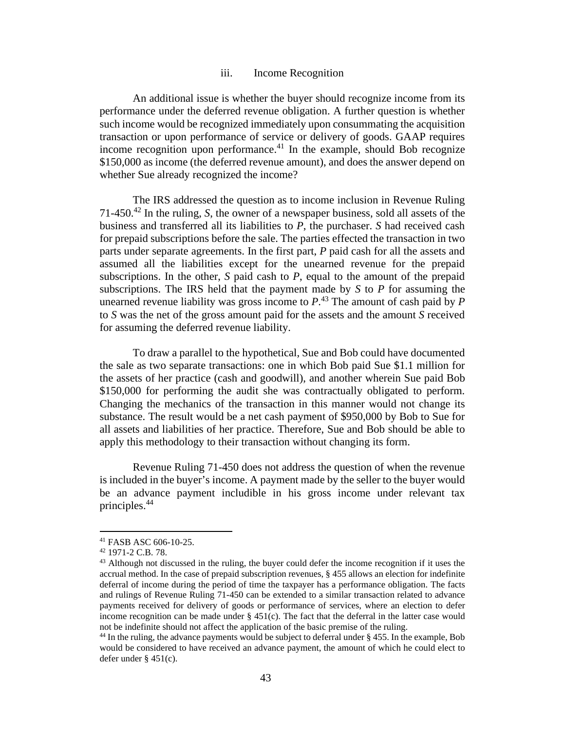#### iii. Income Recognition

An additional issue is whether the buyer should recognize income from its performance under the deferred revenue obligation. A further question is whether such income would be recognized immediately upon consummating the acquisition transaction or upon performance of service or delivery of goods. GAAP requires income recognition upon performance.<sup>41</sup> In the example, should Bob recognize \$150,000 as income (the deferred revenue amount), and does the answer depend on whether Sue already recognized the income?

The IRS addressed the question as to income inclusion in Revenue Ruling 71-450.<sup>42</sup> In the ruling, *S*, the owner of a newspaper business, sold all assets of the business and transferred all its liabilities to *P*, the purchaser. *S* had received cash for prepaid subscriptions before the sale. The parties effected the transaction in two parts under separate agreements. In the first part, *P* paid cash for all the assets and assumed all the liabilities except for the unearned revenue for the prepaid subscriptions. In the other, *S* paid cash to *P*, equal to the amount of the prepaid subscriptions. The IRS held that the payment made by *S* to *P* for assuming the unearned revenue liability was gross income to *P*. <sup>43</sup> The amount of cash paid by *P* to *S* was the net of the gross amount paid for the assets and the amount *S* received for assuming the deferred revenue liability.

To draw a parallel to the hypothetical, Sue and Bob could have documented the sale as two separate transactions: one in which Bob paid Sue \$1.1 million for the assets of her practice (cash and goodwill), and another wherein Sue paid Bob \$150,000 for performing the audit she was contractually obligated to perform. Changing the mechanics of the transaction in this manner would not change its substance. The result would be a net cash payment of \$950,000 by Bob to Sue for all assets and liabilities of her practice. Therefore, Sue and Bob should be able to apply this methodology to their transaction without changing its form.

Revenue Ruling 71-450 does not address the question of when the revenue is included in the buyer's income. A payment made by the seller to the buyer would be an advance payment includible in his gross income under relevant tax principles.<sup>44</sup>

<sup>41</sup> FASB ASC 606-10-25.

<sup>42</sup> 1971-2 C.B. 78.

<sup>&</sup>lt;sup>43</sup> Although not discussed in the ruling, the buyer could defer the income recognition if it uses the accrual method. In the case of prepaid subscription revenues, § 455 allows an election for indefinite deferral of income during the period of time the taxpayer has a performance obligation. The facts and rulings of Revenue Ruling 71-450 can be extended to a similar transaction related to advance payments received for delivery of goods or performance of services, where an election to defer income recognition can be made under  $\S 451(c)$ . The fact that the deferral in the latter case would not be indefinite should not affect the application of the basic premise of the ruling.

<sup>44</sup> In the ruling, the advance payments would be subject to deferral under § 455. In the example, Bob would be considered to have received an advance payment, the amount of which he could elect to defer under § 451(c).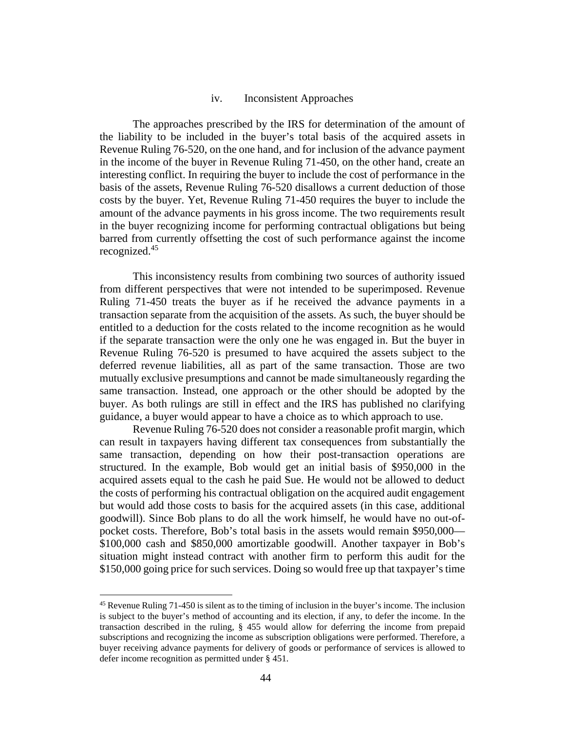#### iv. Inconsistent Approaches

The approaches prescribed by the IRS for determination of the amount of the liability to be included in the buyer's total basis of the acquired assets in Revenue Ruling 76-520, on the one hand, and for inclusion of the advance payment in the income of the buyer in Revenue Ruling 71-450, on the other hand, create an interesting conflict. In requiring the buyer to include the cost of performance in the basis of the assets, Revenue Ruling 76-520 disallows a current deduction of those costs by the buyer. Yet, Revenue Ruling 71-450 requires the buyer to include the amount of the advance payments in his gross income. The two requirements result in the buyer recognizing income for performing contractual obligations but being barred from currently offsetting the cost of such performance against the income recognized.<sup>45</sup>

This inconsistency results from combining two sources of authority issued from different perspectives that were not intended to be superimposed. Revenue Ruling 71-450 treats the buyer as if he received the advance payments in a transaction separate from the acquisition of the assets. As such, the buyer should be entitled to a deduction for the costs related to the income recognition as he would if the separate transaction were the only one he was engaged in. But the buyer in Revenue Ruling 76-520 is presumed to have acquired the assets subject to the deferred revenue liabilities, all as part of the same transaction. Those are two mutually exclusive presumptions and cannot be made simultaneously regarding the same transaction. Instead, one approach or the other should be adopted by the buyer. As both rulings are still in effect and the IRS has published no clarifying guidance, a buyer would appear to have a choice as to which approach to use.

Revenue Ruling 76-520 does not consider a reasonable profit margin, which can result in taxpayers having different tax consequences from substantially the same transaction, depending on how their post-transaction operations are structured. In the example, Bob would get an initial basis of \$950,000 in the acquired assets equal to the cash he paid Sue. He would not be allowed to deduct the costs of performing his contractual obligation on the acquired audit engagement but would add those costs to basis for the acquired assets (in this case, additional goodwill). Since Bob plans to do all the work himself, he would have no out-ofpocket costs. Therefore, Bob's total basis in the assets would remain \$950,000— \$100,000 cash and \$850,000 amortizable goodwill. Another taxpayer in Bob's situation might instead contract with another firm to perform this audit for the \$150,000 going price for such services. Doing so would free up that taxpayer's time

<sup>45</sup> Revenue Ruling 71-450 is silent as to the timing of inclusion in the buyer's income. The inclusion is subject to the buyer's method of accounting and its election, if any, to defer the income. In the transaction described in the ruling, § 455 would allow for deferring the income from prepaid subscriptions and recognizing the income as subscription obligations were performed. Therefore, a buyer receiving advance payments for delivery of goods or performance of services is allowed to defer income recognition as permitted under § 451.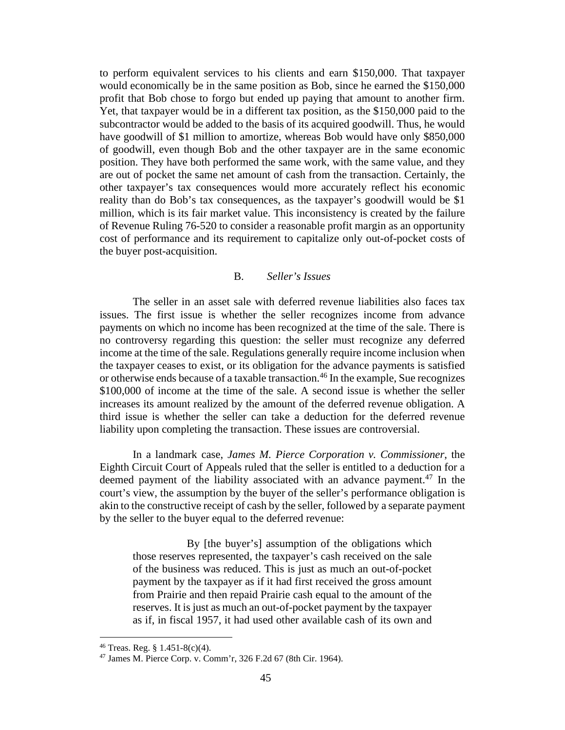to perform equivalent services to his clients and earn \$150,000. That taxpayer would economically be in the same position as Bob, since he earned the \$150,000 profit that Bob chose to forgo but ended up paying that amount to another firm. Yet, that taxpayer would be in a different tax position, as the \$150,000 paid to the subcontractor would be added to the basis of its acquired goodwill. Thus, he would have goodwill of \$1 million to amortize, whereas Bob would have only \$850,000 of goodwill, even though Bob and the other taxpayer are in the same economic position. They have both performed the same work, with the same value, and they are out of pocket the same net amount of cash from the transaction. Certainly, the other taxpayer's tax consequences would more accurately reflect his economic reality than do Bob's tax consequences, as the taxpayer's goodwill would be \$1 million, which is its fair market value. This inconsistency is created by the failure of Revenue Ruling 76-520 to consider a reasonable profit margin as an opportunity cost of performance and its requirement to capitalize only out-of-pocket costs of the buyer post-acquisition.

#### B. *Seller's Issues*

The seller in an asset sale with deferred revenue liabilities also faces tax issues. The first issue is whether the seller recognizes income from advance payments on which no income has been recognized at the time of the sale. There is no controversy regarding this question: the seller must recognize any deferred income at the time of the sale. Regulations generally require income inclusion when the taxpayer ceases to exist, or its obligation for the advance payments is satisfied or otherwise ends because of a taxable transaction.<sup>46</sup> In the example, Sue recognizes \$100,000 of income at the time of the sale. A second issue is whether the seller increases its amount realized by the amount of the deferred revenue obligation. A third issue is whether the seller can take a deduction for the deferred revenue liability upon completing the transaction. These issues are controversial.

In a landmark case, *James M. Pierce Corporation v. Commissioner*, the Eighth Circuit Court of Appeals ruled that the seller is entitled to a deduction for a deemed payment of the liability associated with an advance payment.<sup>47</sup> In the court's view, the assumption by the buyer of the seller's performance obligation is akin to the constructive receipt of cash by the seller, followed by a separate payment by the seller to the buyer equal to the deferred revenue:

By [the buyer's] assumption of the obligations which those reserves represented, the taxpayer's cash received on the sale of the business was reduced. This is just as much an out-of-pocket payment by the taxpayer as if it had first received the gross amount from Prairie and then repaid Prairie cash equal to the amount of the reserves. It is just as much an out-of-pocket payment by the taxpayer as if, in fiscal 1957, it had used other available cash of its own and

<sup>46</sup> Treas. Reg. § 1.451-8(c)(4).

<sup>47</sup> James M. Pierce Corp. v. Comm'r, 326 F.2d 67 (8th Cir. 1964).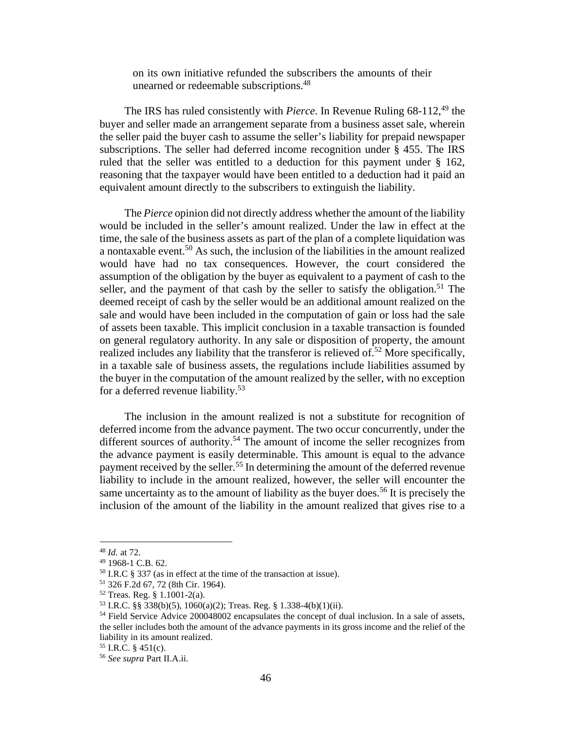on its own initiative refunded the subscribers the amounts of their unearned or redeemable subscriptions.<sup>48</sup>

The IRS has ruled consistently with *Pierce*. In Revenue Ruling 68-112,<sup>49</sup> the buyer and seller made an arrangement separate from a business asset sale, wherein the seller paid the buyer cash to assume the seller's liability for prepaid newspaper subscriptions. The seller had deferred income recognition under § 455. The IRS ruled that the seller was entitled to a deduction for this payment under § 162, reasoning that the taxpayer would have been entitled to a deduction had it paid an equivalent amount directly to the subscribers to extinguish the liability.

The *Pierce* opinion did not directly address whether the amount of the liability would be included in the seller's amount realized. Under the law in effect at the time, the sale of the business assets as part of the plan of a complete liquidation was a nontaxable event.<sup>50</sup> As such, the inclusion of the liabilities in the amount realized would have had no tax consequences. However, the court considered the assumption of the obligation by the buyer as equivalent to a payment of cash to the seller, and the payment of that cash by the seller to satisfy the obligation.<sup>51</sup> The deemed receipt of cash by the seller would be an additional amount realized on the sale and would have been included in the computation of gain or loss had the sale of assets been taxable. This implicit conclusion in a taxable transaction is founded on general regulatory authority. In any sale or disposition of property, the amount realized includes any liability that the transferor is relieved of  $5^2$  More specifically, in a taxable sale of business assets, the regulations include liabilities assumed by the buyer in the computation of the amount realized by the seller, with no exception for a deferred revenue liability.<sup>53</sup>

The inclusion in the amount realized is not a substitute for recognition of deferred income from the advance payment. The two occur concurrently, under the different sources of authority.<sup>54</sup> The amount of income the seller recognizes from the advance payment is easily determinable. This amount is equal to the advance payment received by the seller.<sup>55</sup> In determining the amount of the deferred revenue liability to include in the amount realized, however, the seller will encounter the same uncertainty as to the amount of liability as the buyer does.<sup>56</sup> It is precisely the inclusion of the amount of the liability in the amount realized that gives rise to a

<sup>48</sup> *Id.* at 72.

<sup>49</sup> 1968-1 C.B. 62.

<sup>50</sup> I.R.C § 337 (as in effect at the time of the transaction at issue).

<sup>51</sup> 326 F.2d 67, 72 (8th Cir. 1964).

<sup>52</sup> Treas. Reg. § 1.1001-2(a).

<sup>53</sup> I.R.C. §§ 338(b)(5), 1060(a)(2); Treas. Reg. § 1.338-4(b)(1)(ii).

<sup>&</sup>lt;sup>54</sup> Field Service Advice 200048002 encapsulates the concept of dual inclusion. In a sale of assets, the seller includes both the amount of the advance payments in its gross income and the relief of the liability in its amount realized.

 $55$  I.R.C. § 451(c).

<sup>56</sup> *See supra* Part II.A.ii.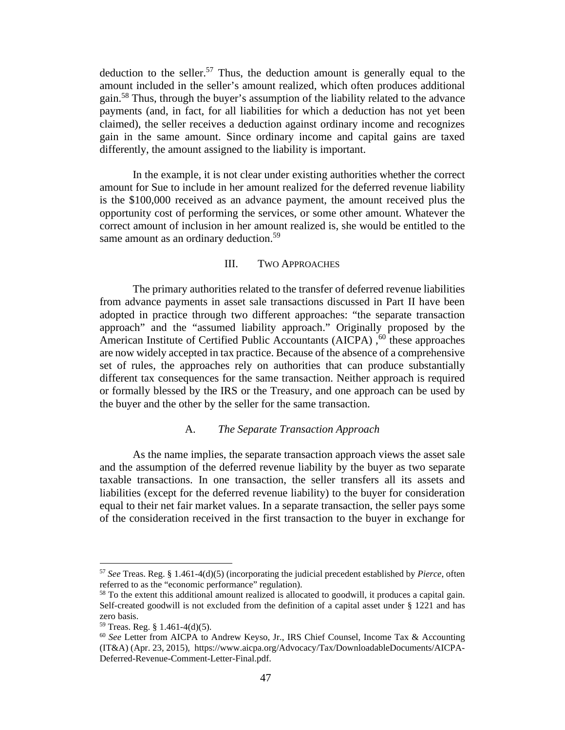deduction to the seller.<sup>57</sup> Thus, the deduction amount is generally equal to the amount included in the seller's amount realized, which often produces additional gain.<sup>58</sup> Thus, through the buyer's assumption of the liability related to the advance payments (and, in fact, for all liabilities for which a deduction has not yet been claimed), the seller receives a deduction against ordinary income and recognizes gain in the same amount. Since ordinary income and capital gains are taxed differently, the amount assigned to the liability is important.

In the example, it is not clear under existing authorities whether the correct amount for Sue to include in her amount realized for the deferred revenue liability is the \$100,000 received as an advance payment, the amount received plus the opportunity cost of performing the services, or some other amount. Whatever the correct amount of inclusion in her amount realized is, she would be entitled to the same amount as an ordinary deduction.<sup>59</sup>

### III. TWO APPROACHES

The primary authorities related to the transfer of deferred revenue liabilities from advance payments in asset sale transactions discussed in Part II have been adopted in practice through two different approaches: "the separate transaction approach" and the "assumed liability approach." Originally proposed by the American Institute of Certified Public Accountants (AICPA),  $60$  these approaches are now widely accepted in tax practice. Because of the absence of a comprehensive set of rules, the approaches rely on authorities that can produce substantially different tax consequences for the same transaction. Neither approach is required or formally blessed by the IRS or the Treasury, and one approach can be used by the buyer and the other by the seller for the same transaction.

#### A. *The Separate Transaction Approach*

As the name implies, the separate transaction approach views the asset sale and the assumption of the deferred revenue liability by the buyer as two separate taxable transactions. In one transaction, the seller transfers all its assets and liabilities (except for the deferred revenue liability) to the buyer for consideration equal to their net fair market values. In a separate transaction, the seller pays some of the consideration received in the first transaction to the buyer in exchange for

<sup>57</sup> *See* Treas. Reg. § 1.461-4(d)(5) (incorporating the judicial precedent established by *Pierce*, often referred to as the "economic performance" regulation).

<sup>&</sup>lt;sup>58</sup> To the extent this additional amount realized is allocated to goodwill, it produces a capital gain. Self-created goodwill is not excluded from the definition of a capital asset under § 1221 and has zero basis.

 $59$  Treas. Reg. § 1.461-4(d)(5).

<sup>60</sup> *See* Letter from AICPA to Andrew Keyso, Jr., IRS Chief Counsel, Income Tax & Accounting (IT&A) (Apr. 23, 2015), https://www.aicpa.org/Advocacy/Tax/DownloadableDocuments/AICPA-Deferred-Revenue-Comment-Letter-Final.pdf.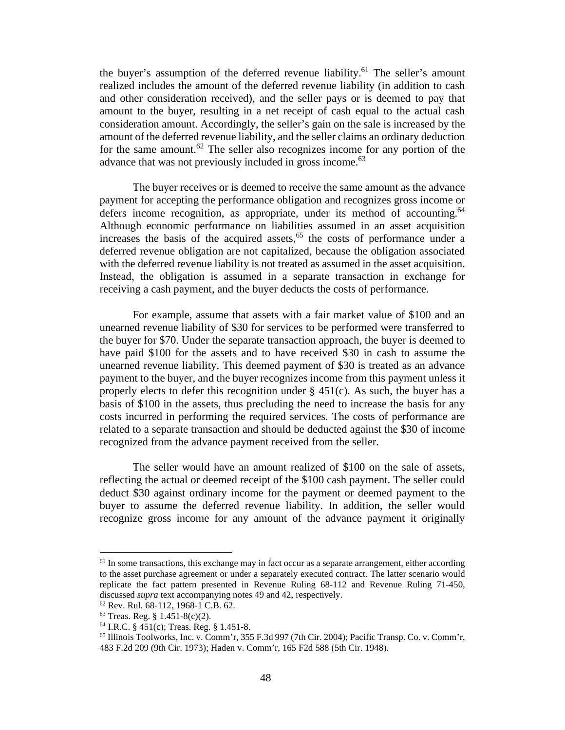the buyer's assumption of the deferred revenue liability.<sup>61</sup> The seller's amount realized includes the amount of the deferred revenue liability (in addition to cash and other consideration received), and the seller pays or is deemed to pay that amount to the buyer, resulting in a net receipt of cash equal to the actual cash consideration amount. Accordingly, the seller's gain on the sale is increased by the amount of the deferred revenue liability, and the seller claims an ordinary deduction for the same amount.<sup>62</sup> The seller also recognizes income for any portion of the advance that was not previously included in gross income.<sup>63</sup>

The buyer receives or is deemed to receive the same amount as the advance payment for accepting the performance obligation and recognizes gross income or defers income recognition, as appropriate, under its method of accounting.<sup>64</sup> Although economic performance on liabilities assumed in an asset acquisition increases the basis of the acquired assets, $65$  the costs of performance under a deferred revenue obligation are not capitalized, because the obligation associated with the deferred revenue liability is not treated as assumed in the asset acquisition. Instead, the obligation is assumed in a separate transaction in exchange for receiving a cash payment, and the buyer deducts the costs of performance.

For example, assume that assets with a fair market value of \$100 and an unearned revenue liability of \$30 for services to be performed were transferred to the buyer for \$70. Under the separate transaction approach, the buyer is deemed to have paid \$100 for the assets and to have received \$30 in cash to assume the unearned revenue liability. This deemed payment of \$30 is treated as an advance payment to the buyer, and the buyer recognizes income from this payment unless it properly elects to defer this recognition under  $\S$  451(c). As such, the buyer has a basis of \$100 in the assets, thus precluding the need to increase the basis for any costs incurred in performing the required services. The costs of performance are related to a separate transaction and should be deducted against the \$30 of income recognized from the advance payment received from the seller.

The seller would have an amount realized of \$100 on the sale of assets, reflecting the actual or deemed receipt of the \$100 cash payment. The seller could deduct \$30 against ordinary income for the payment or deemed payment to the buyer to assume the deferred revenue liability. In addition, the seller would recognize gross income for any amount of the advance payment it originally

<sup>&</sup>lt;sup>61</sup> In some transactions, this exchange may in fact occur as a separate arrangement, either according to the asset purchase agreement or under a separately executed contract. The latter scenario would replicate the fact pattern presented in Revenue Ruling 68-112 and Revenue Ruling 71-450, discussed *supra* text accompanying notes 49 and 42, respectively.

<sup>62</sup> Rev. Rul. 68-112, 1968-1 C.B. 62.

 $63$  Treas. Reg. § 1.451-8(c)(2).

<sup>64</sup> I.R.C. § 451(c); Treas. Reg. § 1.451-8.

 $65$  Illinois Toolworks, Inc. v. Comm'r, 355 F.3d 997 (7th Cir. 2004); Pacific Transp. Co. v. Comm'r, 483 F.2d 209 (9th Cir. 1973); Haden v. Comm'r, 165 F2d 588 (5th Cir. 1948).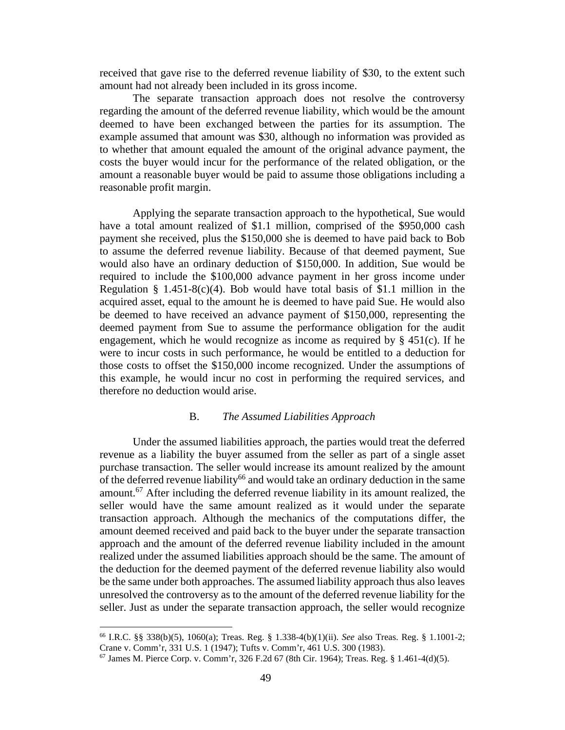received that gave rise to the deferred revenue liability of \$30, to the extent such amount had not already been included in its gross income.

The separate transaction approach does not resolve the controversy regarding the amount of the deferred revenue liability, which would be the amount deemed to have been exchanged between the parties for its assumption. The example assumed that amount was \$30, although no information was provided as to whether that amount equaled the amount of the original advance payment, the costs the buyer would incur for the performance of the related obligation, or the amount a reasonable buyer would be paid to assume those obligations including a reasonable profit margin.

Applying the separate transaction approach to the hypothetical, Sue would have a total amount realized of \$1.1 million, comprised of the \$950,000 cash payment she received, plus the \$150,000 she is deemed to have paid back to Bob to assume the deferred revenue liability. Because of that deemed payment, Sue would also have an ordinary deduction of \$150,000. In addition, Sue would be required to include the \$100,000 advance payment in her gross income under Regulation § 1.451-8(c)(4). Bob would have total basis of \$1.1 million in the acquired asset, equal to the amount he is deemed to have paid Sue. He would also be deemed to have received an advance payment of \$150,000, representing the deemed payment from Sue to assume the performance obligation for the audit engagement, which he would recognize as income as required by  $\S$  451(c). If he were to incur costs in such performance, he would be entitled to a deduction for those costs to offset the \$150,000 income recognized. Under the assumptions of this example, he would incur no cost in performing the required services, and therefore no deduction would arise.

#### B. *The Assumed Liabilities Approach*

Under the assumed liabilities approach, the parties would treat the deferred revenue as a liability the buyer assumed from the seller as part of a single asset purchase transaction. The seller would increase its amount realized by the amount of the deferred revenue liability<sup>66</sup> and would take an ordinary deduction in the same amount.<sup>67</sup> After including the deferred revenue liability in its amount realized, the seller would have the same amount realized as it would under the separate transaction approach. Although the mechanics of the computations differ, the amount deemed received and paid back to the buyer under the separate transaction approach and the amount of the deferred revenue liability included in the amount realized under the assumed liabilities approach should be the same. The amount of the deduction for the deemed payment of the deferred revenue liability also would be the same under both approaches. The assumed liability approach thus also leaves unresolved the controversy as to the amount of the deferred revenue liability for the seller. Just as under the separate transaction approach, the seller would recognize

<sup>66</sup> I.R.C. §§ 338(b)(5), 1060(a); Treas. Reg. § 1.338-4(b)(1)(ii). *See* also Treas. Reg. § 1.1001-2; Crane v. Comm'r, 331 U.S. 1 (1947); Tufts v. Comm'r, 461 U.S. 300 (1983).

 $^{67}$  James M. Pierce Corp. v. Comm'r, 326 F.2d 67 (8th Cir. 1964); Treas. Reg. § 1.461-4(d)(5).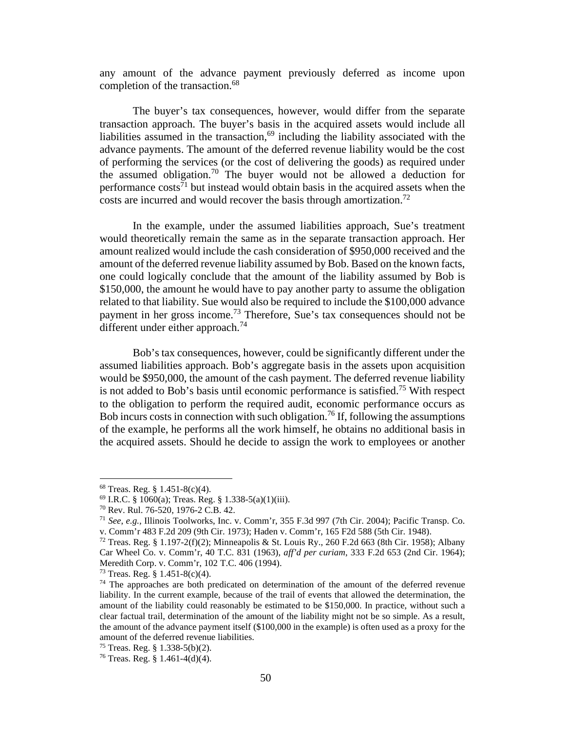any amount of the advance payment previously deferred as income upon completion of the transaction.<sup>68</sup>

The buyer's tax consequences, however, would differ from the separate transaction approach. The buyer's basis in the acquired assets would include all liabilities assumed in the transaction, $69$  including the liability associated with the advance payments. The amount of the deferred revenue liability would be the cost of performing the services (or the cost of delivering the goods) as required under the assumed obligation.<sup>70</sup> The buyer would not be allowed a deduction for performance  $cost^{\overline{7}1}$  but instead would obtain basis in the acquired assets when the costs are incurred and would recover the basis through amortization.<sup>72</sup>

In the example, under the assumed liabilities approach, Sue's treatment would theoretically remain the same as in the separate transaction approach. Her amount realized would include the cash consideration of \$950,000 received and the amount of the deferred revenue liability assumed by Bob. Based on the known facts, one could logically conclude that the amount of the liability assumed by Bob is \$150,000, the amount he would have to pay another party to assume the obligation related to that liability. Sue would also be required to include the \$100,000 advance payment in her gross income.<sup>73</sup> Therefore, Sue's tax consequences should not be different under either approach.<sup>74</sup>

Bob's tax consequences, however, could be significantly different under the assumed liabilities approach. Bob's aggregate basis in the assets upon acquisition would be \$950,000, the amount of the cash payment. The deferred revenue liability is not added to Bob's basis until economic performance is satisfied.<sup>75</sup> With respect to the obligation to perform the required audit, economic performance occurs as Bob incurs costs in connection with such obligation.<sup>76</sup> If, following the assumptions of the example, he performs all the work himself, he obtains no additional basis in the acquired assets. Should he decide to assign the work to employees or another

<sup>68</sup> Treas. Reg. § 1.451-8(c)(4).

 $^{69}$  I.R.C. § 1060(a); Treas. Reg. § 1.338-5(a)(1)(iii).

<sup>70</sup> Rev. Rul. 76-520, 1976-2 C.B. 42.

<sup>71</sup> *See*, *e.g.,* Illinois Toolworks, Inc. v. Comm'r, 355 F.3d 997 (7th Cir. 2004); Pacific Transp. Co. v. Comm'r 483 F.2d 209 (9th Cir. 1973); Haden v. Comm'r, 165 F2d 588 (5th Cir. 1948).

<sup>72</sup> Treas. Reg. § 1.197-2(f)(2); Minneapolis & St. Louis Ry., 260 F.2d 663 (8th Cir. 1958); Albany Car Wheel Co. v. Comm'r, 40 T.C. 831 (1963), *aff'd per curiam*, 333 F.2d 653 (2nd Cir. 1964); Meredith Corp. v. Comm'r, 102 T.C. 406 (1994).

 $73$  Treas. Reg. § 1.451-8(c)(4).

 $74$  The approaches are both predicated on determination of the amount of the deferred revenue liability. In the current example, because of the trail of events that allowed the determination, the amount of the liability could reasonably be estimated to be \$150,000. In practice, without such a clear factual trail, determination of the amount of the liability might not be so simple. As a result, the amount of the advance payment itself (\$100,000 in the example) is often used as a proxy for the amount of the deferred revenue liabilities.

<sup>&</sup>lt;sup>75</sup> Treas. Reg. § 1.338-5(b)(2).

<sup>&</sup>lt;sup>76</sup> Treas. Reg. § 1.461-4(d)(4).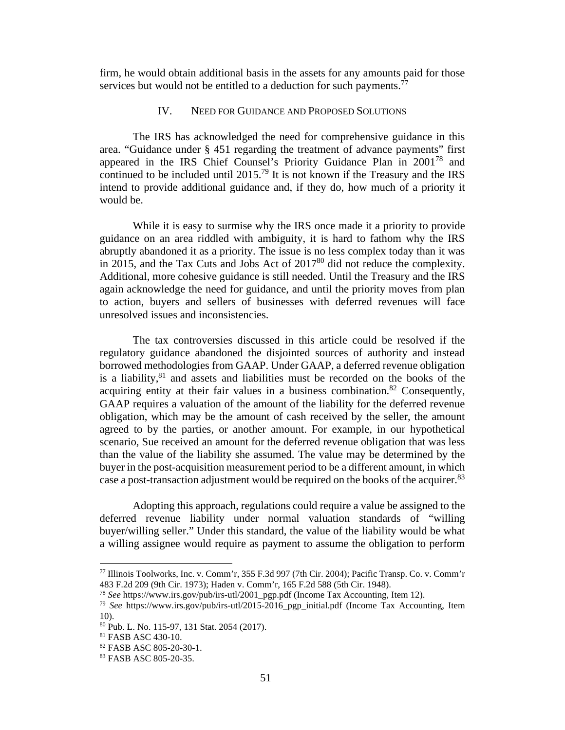firm, he would obtain additional basis in the assets for any amounts paid for those services but would not be entitled to a deduction for such payments.<sup>77</sup>

#### IV. NEED FOR GUIDANCE AND PROPOSED SOLUTIONS

The IRS has acknowledged the need for comprehensive guidance in this area. "Guidance under § 451 regarding the treatment of advance payments" first appeared in the IRS Chief Counsel's Priority Guidance Plan in 2001<sup>78</sup> and continued to be included until 2015.<sup>79</sup> It is not known if the Treasury and the IRS intend to provide additional guidance and, if they do, how much of a priority it would be.

While it is easy to surmise why the IRS once made it a priority to provide guidance on an area riddled with ambiguity, it is hard to fathom why the IRS abruptly abandoned it as a priority. The issue is no less complex today than it was in 2015, and the Tax Cuts and Jobs Act of 2017<sup>80</sup> did not reduce the complexity. Additional, more cohesive guidance is still needed. Until the Treasury and the IRS again acknowledge the need for guidance, and until the priority moves from plan to action, buyers and sellers of businesses with deferred revenues will face unresolved issues and inconsistencies.

The tax controversies discussed in this article could be resolved if the regulatory guidance abandoned the disjointed sources of authority and instead borrowed methodologies from GAAP. Under GAAP, a deferred revenue obligation is a liability, $81$  and assets and liabilities must be recorded on the books of the acquiring entity at their fair values in a business combination.<sup>82</sup> Consequently, GAAP requires a valuation of the amount of the liability for the deferred revenue obligation, which may be the amount of cash received by the seller, the amount agreed to by the parties, or another amount. For example, in our hypothetical scenario, Sue received an amount for the deferred revenue obligation that was less than the value of the liability she assumed. The value may be determined by the buyer in the post-acquisition measurement period to be a different amount, in which case a post-transaction adjustment would be required on the books of the acquirer.<sup>83</sup>

Adopting this approach, regulations could require a value be assigned to the deferred revenue liability under normal valuation standards of "willing buyer/willing seller." Under this standard, the value of the liability would be what a willing assignee would require as payment to assume the obligation to perform

<sup>77</sup> Illinois Toolworks, Inc. v. Comm'r, 355 F.3d 997 (7th Cir. 2004); Pacific Transp. Co. v. Comm'r 483 F.2d 209 (9th Cir. 1973); Haden v. Comm'r, 165 F.2d 588 (5th Cir. 1948).

<sup>78</sup> *See* https://www.irs.gov/pub/irs-utl/2001\_pgp.pdf (Income Tax Accounting, Item 12).

<sup>79</sup> *See* https://www.irs.gov/pub/irs-utl/2015-2016\_pgp\_initial.pdf (Income Tax Accounting, Item 10).

<sup>80</sup> Pub. L. No. 115-97, 131 Stat. 2054 (2017).

<sup>81</sup> FASB ASC 430-10.

<sup>82</sup> FASB ASC 805-20-30-1.

<sup>83</sup> FASB ASC 805-20-35.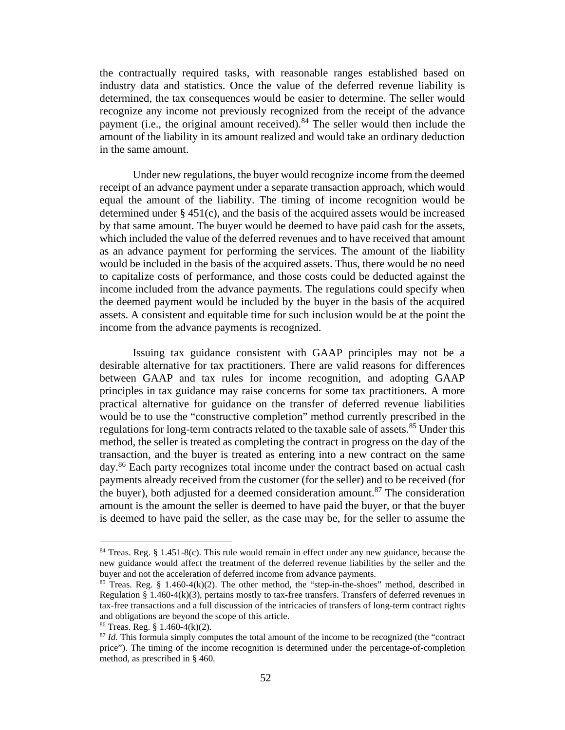the contractually required tasks, with reasonable ranges established based on industry data and statistics. Once the value of the deferred revenue liability is determined, the tax consequences would be easier to determine. The seller would recognize any income not previously recognized from the receipt of the advance payment (i.e., the original amount received).<sup>84</sup> The seller would then include the amount of the liability in its amount realized and would take an ordinary deduction in the same amount.

Under new regulations, the buyer would recognize income from the deemed receipt of an advance payment under a separate transaction approach, which would equal the amount of the liability. The timing of income recognition would be determined under § 451(c), and the basis of the acquired assets would be increased by that same amount. The buyer would be deemed to have paid cash for the assets, which included the value of the deferred revenues and to have received that amount as an advance payment for performing the services. The amount of the liability would be included in the basis of the acquired assets. Thus, there would be no need to capitalize costs of performance, and those costs could be deducted against the income included from the advance payments. The regulations could specify when the deemed payment would be included by the buyer in the basis of the acquired assets. A consistent and equitable time for such inclusion would be at the point the income from the advance payments is recognized.

Issuing tax guidance consistent with GAAP principles may not be a desirable alternative for tax practitioners. There are valid reasons for differences between GAAP and tax rules for income recognition, and adopting GAAP principles in tax guidance may raise concerns for some tax practitioners. A more practical alternative for guidance on the transfer of deferred revenue liabilities would be to use the "constructive completion" method currently prescribed in the regulations for long-term contracts related to the taxable sale of assets.<sup>85</sup> Under this method, the seller is treated as completing the contract in progress on the day of the transaction, and the buyer is treated as entering into a new contract on the same day.<sup>86</sup> Each party recognizes total income under the contract based on actual cash payments already received from the customer (for the seller) and to be received (for the buyer), both adjusted for a deemed consideration amount.<sup>87</sup> The consideration amount is the amount the seller is deemed to have paid the buyer, or that the buyer is deemed to have paid the seller, as the case may be, for the seller to assume the

 $84$  Treas. Reg. § 1.451-8(c). This rule would remain in effect under any new guidance, because the new guidance would affect the treatment of the deferred revenue liabilities by the seller and the buyer and not the acceleration of deferred income from advance payments.

 $85$  Treas. Reg. § 1.460-4(k)(2). The other method, the "step-in-the-shoes" method, described in Regulation § 1.460-4(k)(3), pertains mostly to tax-free transfers. Transfers of deferred revenues in tax-free transactions and a full discussion of the intricacies of transfers of long-term contract rights and obligations are beyond the scope of this article.

 $86$  Treas. Reg. § 1.460-4(k)(2).

<sup>87</sup> *Id.* This formula simply computes the total amount of the income to be recognized (the "contract price"). The timing of the income recognition is determined under the percentage-of-completion method, as prescribed in § 460.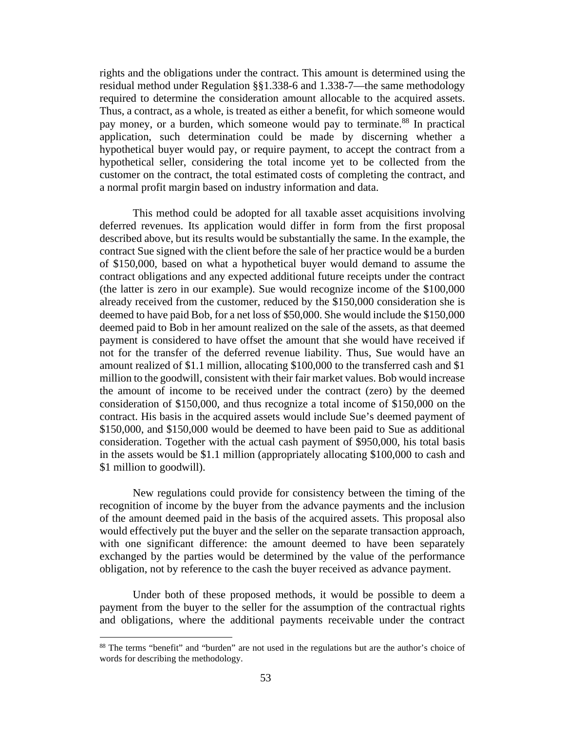rights and the obligations under the contract. This amount is determined using the residual method under Regulation §§1.338-6 and 1.338-7—the same methodology required to determine the consideration amount allocable to the acquired assets. Thus, a contract, as a whole, is treated as either a benefit, for which someone would pay money, or a burden, which someone would pay to terminate.<sup>88</sup> In practical application, such determination could be made by discerning whether a hypothetical buyer would pay, or require payment, to accept the contract from a hypothetical seller, considering the total income yet to be collected from the customer on the contract, the total estimated costs of completing the contract, and a normal profit margin based on industry information and data.

This method could be adopted for all taxable asset acquisitions involving deferred revenues. Its application would differ in form from the first proposal described above, but its results would be substantially the same. In the example, the contract Sue signed with the client before the sale of her practice would be a burden of \$150,000, based on what a hypothetical buyer would demand to assume the contract obligations and any expected additional future receipts under the contract (the latter is zero in our example). Sue would recognize income of the \$100,000 already received from the customer, reduced by the \$150,000 consideration she is deemed to have paid Bob, for a net loss of \$50,000. She would include the \$150,000 deemed paid to Bob in her amount realized on the sale of the assets, as that deemed payment is considered to have offset the amount that she would have received if not for the transfer of the deferred revenue liability. Thus, Sue would have an amount realized of \$1.1 million, allocating \$100,000 to the transferred cash and \$1 million to the goodwill, consistent with their fair market values. Bob would increase the amount of income to be received under the contract (zero) by the deemed consideration of \$150,000, and thus recognize a total income of \$150,000 on the contract. His basis in the acquired assets would include Sue's deemed payment of \$150,000, and \$150,000 would be deemed to have been paid to Sue as additional consideration. Together with the actual cash payment of \$950,000, his total basis in the assets would be \$1.1 million (appropriately allocating \$100,000 to cash and \$1 million to goodwill).

New regulations could provide for consistency between the timing of the recognition of income by the buyer from the advance payments and the inclusion of the amount deemed paid in the basis of the acquired assets. This proposal also would effectively put the buyer and the seller on the separate transaction approach, with one significant difference: the amount deemed to have been separately exchanged by the parties would be determined by the value of the performance obligation, not by reference to the cash the buyer received as advance payment.

Under both of these proposed methods, it would be possible to deem a payment from the buyer to the seller for the assumption of the contractual rights and obligations, where the additional payments receivable under the contract

<sup>&</sup>lt;sup>88</sup> The terms "benefit" and "burden" are not used in the regulations but are the author's choice of words for describing the methodology.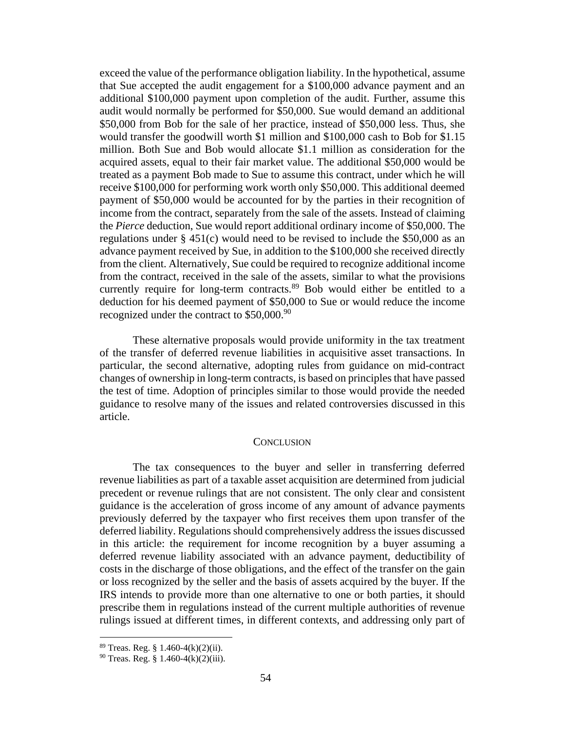exceed the value of the performance obligation liability. In the hypothetical, assume that Sue accepted the audit engagement for a \$100,000 advance payment and an additional \$100,000 payment upon completion of the audit. Further, assume this audit would normally be performed for \$50,000. Sue would demand an additional \$50,000 from Bob for the sale of her practice, instead of \$50,000 less. Thus, she would transfer the goodwill worth \$1 million and \$100,000 cash to Bob for \$1.15 million. Both Sue and Bob would allocate \$1.1 million as consideration for the acquired assets, equal to their fair market value. The additional \$50,000 would be treated as a payment Bob made to Sue to assume this contract, under which he will receive \$100,000 for performing work worth only \$50,000. This additional deemed payment of \$50,000 would be accounted for by the parties in their recognition of income from the contract, separately from the sale of the assets. Instead of claiming the *Pierce* deduction, Sue would report additional ordinary income of \$50,000. The regulations under § 451(c) would need to be revised to include the \$50,000 as an advance payment received by Sue, in addition to the \$100,000 she received directly from the client. Alternatively, Sue could be required to recognize additional income from the contract, received in the sale of the assets, similar to what the provisions currently require for long-term contracts.<sup>89</sup> Bob would either be entitled to a deduction for his deemed payment of \$50,000 to Sue or would reduce the income recognized under the contract to  $$50,000.<sup>90</sup>$ 

These alternative proposals would provide uniformity in the tax treatment of the transfer of deferred revenue liabilities in acquisitive asset transactions. In particular, the second alternative, adopting rules from guidance on mid-contract changes of ownership in long-term contracts, is based on principles that have passed the test of time. Adoption of principles similar to those would provide the needed guidance to resolve many of the issues and related controversies discussed in this article.

#### **CONCLUSION**

The tax consequences to the buyer and seller in transferring deferred revenue liabilities as part of a taxable asset acquisition are determined from judicial precedent or revenue rulings that are not consistent. The only clear and consistent guidance is the acceleration of gross income of any amount of advance payments previously deferred by the taxpayer who first receives them upon transfer of the deferred liability. Regulations should comprehensively address the issues discussed in this article: the requirement for income recognition by a buyer assuming a deferred revenue liability associated with an advance payment, deductibility of costs in the discharge of those obligations, and the effect of the transfer on the gain or loss recognized by the seller and the basis of assets acquired by the buyer. If the IRS intends to provide more than one alternative to one or both parties, it should prescribe them in regulations instead of the current multiple authorities of revenue rulings issued at different times, in different contexts, and addressing only part of

<sup>89</sup> Treas. Reg. § 1.460-4(k)(2)(ii).

 $90$  Treas. Reg. § 1.460-4(k)(2)(iii).